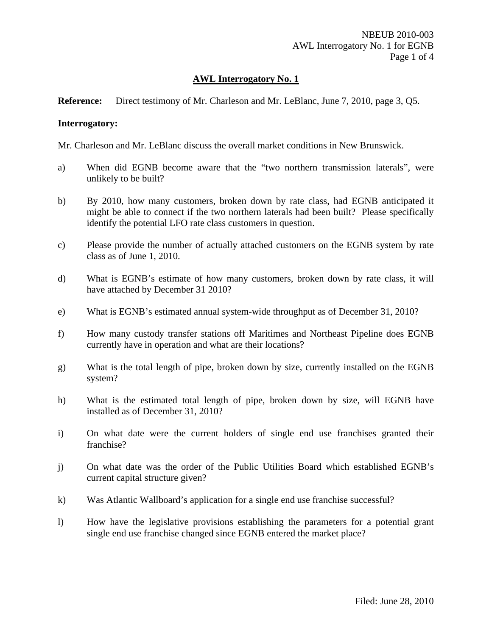## **Reference:** Direct testimony of Mr. Charleson and Mr. LeBlanc, June 7, 2010, page 3, Q5.

## **Interrogatory:**

Mr. Charleson and Mr. LeBlanc discuss the overall market conditions in New Brunswick.

- a) When did EGNB become aware that the "two northern transmission laterals", were unlikely to be built?
- b) By 2010, how many customers, broken down by rate class, had EGNB anticipated it might be able to connect if the two northern laterals had been built? Please specifically identify the potential LFO rate class customers in question.
- c) Please provide the number of actually attached customers on the EGNB system by rate class as of June 1, 2010.
- d) What is EGNB's estimate of how many customers, broken down by rate class, it will have attached by December 31 2010?
- e) What is EGNB's estimated annual system-wide throughput as of December 31, 2010?
- f) How many custody transfer stations off Maritimes and Northeast Pipeline does EGNB currently have in operation and what are their locations?
- g) What is the total length of pipe, broken down by size, currently installed on the EGNB system?
- h) What is the estimated total length of pipe, broken down by size, will EGNB have installed as of December 31, 2010?
- i) On what date were the current holders of single end use franchises granted their franchise?
- j) On what date was the order of the Public Utilities Board which established EGNB's current capital structure given?
- k) Was Atlantic Wallboard's application for a single end use franchise successful?
- l) How have the legislative provisions establishing the parameters for a potential grant single end use franchise changed since EGNB entered the market place?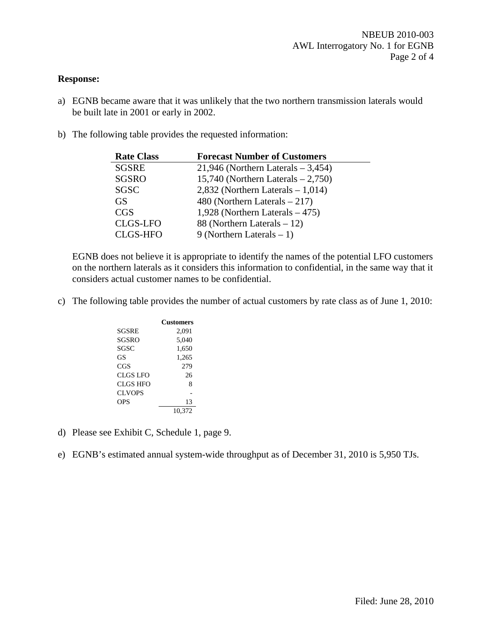### **Response:**

- a) EGNB became aware that it was unlikely that the two northern transmission laterals would be built late in 2001 or early in 2002.
- b) The following table provides the requested information:

| <b>Rate Class</b> | <b>Forecast Number of Customers</b>    |
|-------------------|----------------------------------------|
| <b>SGSRE</b>      | $21,946$ (Northern Laterals $-3,454$ ) |
| <b>SGSRO</b>      | 15,740 (Northern Laterals $-2,750$ )   |
| <b>SGSC</b>       | $2,832$ (Northern Laterals $-1,014$ )  |
| <b>GS</b>         | 480 (Northern Laterals $-217$ )        |
| <b>CGS</b>        | 1,928 (Northern Laterals $-475$ )      |
| <b>CLGS-LFO</b>   | 88 (Northern Laterals $-12$ )          |
| <b>CLGS-HFO</b>   | 9 (Northern Laterals $-1$ )            |

EGNB does not believe it is appropriate to identify the names of the potential LFO customers on the northern laterals as it considers this information to confidential, in the same way that it considers actual customer names to be confidential.

c) The following table provides the number of actual customers by rate class as of June 1, 2010:

|               | Customers |
|---------------|-----------|
| SGSRE         | 2,091     |
| SGSRO         | 5.040     |
| SGSC          | 1,650     |
| GS            | 1,265     |
| CGS           | 279       |
| CLGS LFO      | 26        |
| CLGS HFO      | 8         |
| <b>CLVOPS</b> |           |
| OPS           | 13        |
|               | 10,372    |

- d) Please see Exhibit C, Schedule 1, page 9.
- e) EGNB's estimated annual system-wide throughput as of December 31, 2010 is 5,950 TJs.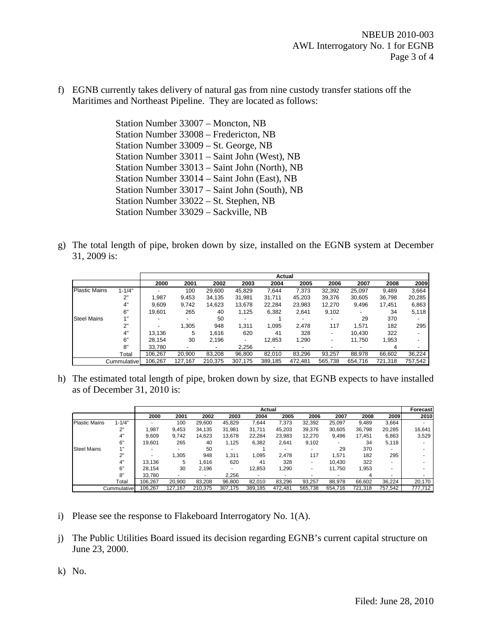f) EGNB currently takes delivery of natural gas from nine custody transfer stations off the Maritimes and Northeast Pipeline. They are located as follows:

> Station Number 33007 – Moncton, NB Station Number 33008 – Fredericton, NB Station Number 33009 – St. George, NB Station Number 33011 – Saint John (West), NB Station Number 33013 – Saint John (North), NB Station Number 33014 – Saint John (East), NB Station Number 33017 – Saint John (South), NB Station Number 33022 – St. Stephen, NB Station Number 33029 – Sackville, NB

g) The total length of pipe, broken down by size, installed on the EGNB system at December 31, 2009 is:

|                      |              | Actual  |         |         |         |                          |                          |                          |         |         |                          |
|----------------------|--------------|---------|---------|---------|---------|--------------------------|--------------------------|--------------------------|---------|---------|--------------------------|
|                      |              | 2000    | 2001    | 2002    | 2003    | 2004                     | 2005                     | 2006                     | 2007    | 2008    | 2009                     |
| <b>Plastic Mains</b> | $1 - 1/4"$   |         | 100     | 29,600  | 45,829  | 7.644                    | 7,373                    | 32,392                   | 25,097  | 9,489   | 3,664                    |
|                      | 2"           | 1,987   | 9,453   | 34,135  | 31,981  | 31,711                   | 45,203                   | 39,376                   | 30,605  | 36,798  | 20,285                   |
|                      | 4"           | 9,609   | 9,742   | 14,623  | 13,678  | 22,284                   | 23,983                   | 12,270                   | 9,496   | 17,451  | 6,863                    |
|                      | 6"           | 19.601  | 265     | 40      | 1,125   | 6,382                    | 2,641                    | 9,102                    | ٠       | 34      | 5,118                    |
| <b>Steel Mains</b>   |              | -       | -       | 50      |         |                          | -                        | $\overline{\phantom{a}}$ | 29      | 370     | $\overline{\phantom{0}}$ |
|                      | ייר          |         | 1,305   | 948     | 1,311   | 1.095                    | 2.478                    | 117                      | 1,571   | 182     | 295                      |
|                      | 4"           | 13,136  | 5       | 1.616   | 620     | 41                       | 328                      | $\overline{\phantom{a}}$ | 10.430  | 322     | ٠                        |
|                      | 6"           | 28.154  | 30      | 2,196   | ۰.      | 12,853                   | 1,290                    | $\overline{\phantom{a}}$ | 11,750  | 1,953   |                          |
|                      | 8"           | 33.780  |         | ۰       | 2.256   | $\overline{\phantom{a}}$ | $\overline{\phantom{a}}$ |                          | -       | 4       |                          |
|                      | Total        | 106,267 | 20,900  | 83,208  | 96,800  | 82,010                   | 83,296                   | 93,257                   | 88,978  | 66,602  | 36,224                   |
|                      | Cummulativel | 106,267 | 127,167 | 210,375 | 307.175 | 389,185                  | 472.481                  | 565,738                  | 654,716 | 721,318 | 757,542                  |

h) The estimated total length of pipe, broken down by size, that EGNB expects to have installed as of December 31, 2010 is:

|                      |              | Actual                   |         |         |         |         |         |                          |         | Forecast |         |         |
|----------------------|--------------|--------------------------|---------|---------|---------|---------|---------|--------------------------|---------|----------|---------|---------|
|                      |              | 2000                     | 2001    | 2002    | 2003    | 2004    | 2005    | 2006                     | 2007    | 2008     | 2009    | 2010    |
| <b>Plastic Mains</b> | $1 - 1/4"$   | ۰.                       | 100     | 29,600  | 45,829  | 7,644   | 7,373   | 32,392                   | 25,097  | 9,489    | 3,664   | $\sim$  |
|                      | 2"           | 1.987                    | 9,453   | 34,135  | 31,981  | 31,711  | 45,203  | 39,376                   | 30,605  | 36,798   | 20,285  | 16,641  |
|                      | 4"           | 9.609                    | 9.742   | 14,623  | 13,678  | 22,284  | 23,983  | 12,270                   | 9,496   | 17,451   | 6,863   | 3,529   |
|                      | 6"           | 19.601                   | 265     | 40      | 1.125   | 6,382   | 2,641   | 9,102                    |         | 34       | 5,118   |         |
| <b>Steel Mains</b>   | 1"           |                          | ٠       | 50      |         |         |         | $\overline{\phantom{a}}$ | 29      | 370      | ۰.      |         |
|                      | 2"           | $\overline{\phantom{a}}$ | 1,305   | 948     | 1,311   | 1.095   | 2,478   | 117                      | 1,571   | 182      | 295     |         |
|                      | 4"           | 13.136                   | 5       | .616    | 620     | 41      | 328     | ٠                        | 10,430  | 322      | ۰       |         |
|                      | 6"           | 28.154                   | 30      | 2,196   | ۰       | 12,853  | 1,290   | ٠                        | 11,750  | 1,953    | ۰       |         |
|                      | 8"           | 33.780                   | ۰       |         | 2,256   | ۰       |         |                          |         | 4        |         |         |
|                      | Total        | 106.267                  | 20.900  | 83.208  | 96,800  | 82.010  | 83.296  | 93,257                   | 88.978  | 66,602   | 36,224  | 20,170  |
|                      | Cummulativel | 106.267                  | 127,167 | 210.375 | 307.175 | 389.185 | 472,481 | 565.738                  | 654.716 | 721,318  | 757,542 | 777,712 |

- i) Please see the response to Flakeboard Interrogatory No. 1(A).
- j) The Public Utilities Board issued its decision regarding EGNB's current capital structure on June 23, 2000.

k) No.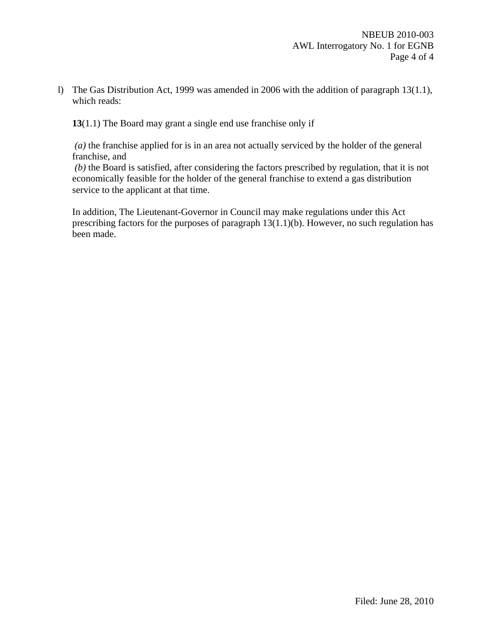l) The Gas Distribution Act, 1999 was amended in 2006 with the addition of paragraph 13(1.1), which reads:

**13**(1.1) The Board may grant a single end use franchise only if

 *(a)* the franchise applied for is in an area not actually serviced by the holder of the general franchise, and

 *(b)* the Board is satisfied, after considering the factors prescribed by regulation, that it is not economically feasible for the holder of the general franchise to extend a gas distribution service to the applicant at that time.

In addition, The Lieutenant-Governor in Council may make regulations under this Act prescribing factors for the purposes of paragraph 13(1.1)(b). However, no such regulation has been made.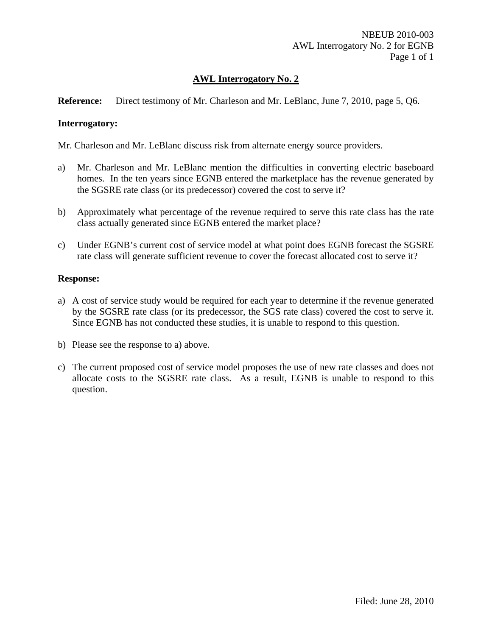## **Reference:** Direct testimony of Mr. Charleson and Mr. LeBlanc, June 7, 2010, page 5, Q6.

## **Interrogatory:**

Mr. Charleson and Mr. LeBlanc discuss risk from alternate energy source providers.

- a) Mr. Charleson and Mr. LeBlanc mention the difficulties in converting electric baseboard homes. In the ten years since EGNB entered the marketplace has the revenue generated by the SGSRE rate class (or its predecessor) covered the cost to serve it?
- b) Approximately what percentage of the revenue required to serve this rate class has the rate class actually generated since EGNB entered the market place?
- c) Under EGNB's current cost of service model at what point does EGNB forecast the SGSRE rate class will generate sufficient revenue to cover the forecast allocated cost to serve it?

## **Response:**

- a) A cost of service study would be required for each year to determine if the revenue generated by the SGSRE rate class (or its predecessor, the SGS rate class) covered the cost to serve it. Since EGNB has not conducted these studies, it is unable to respond to this question.
- b) Please see the response to a) above.
- c) The current proposed cost of service model proposes the use of new rate classes and does not allocate costs to the SGSRE rate class. As a result, EGNB is unable to respond to this question.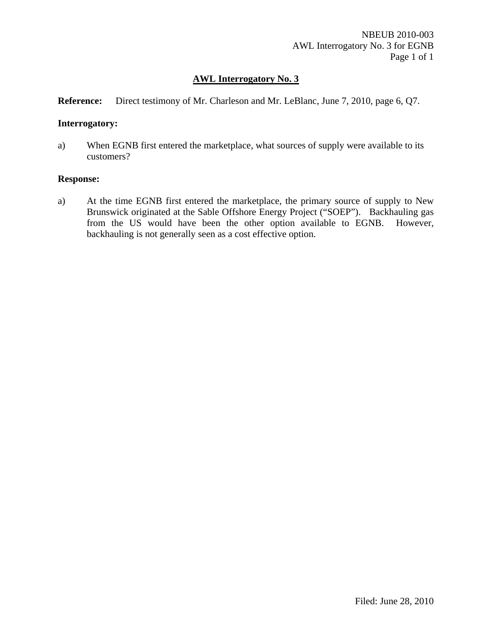## **Reference:** Direct testimony of Mr. Charleson and Mr. LeBlanc, June 7, 2010, page 6, Q7.

### **Interrogatory:**

a) When EGNB first entered the marketplace, what sources of supply were available to its customers?

### **Response:**

a) At the time EGNB first entered the marketplace, the primary source of supply to New Brunswick originated at the Sable Offshore Energy Project ("SOEP"). Backhauling gas from the US would have been the other option available to EGNB. However, backhauling is not generally seen as a cost effective option.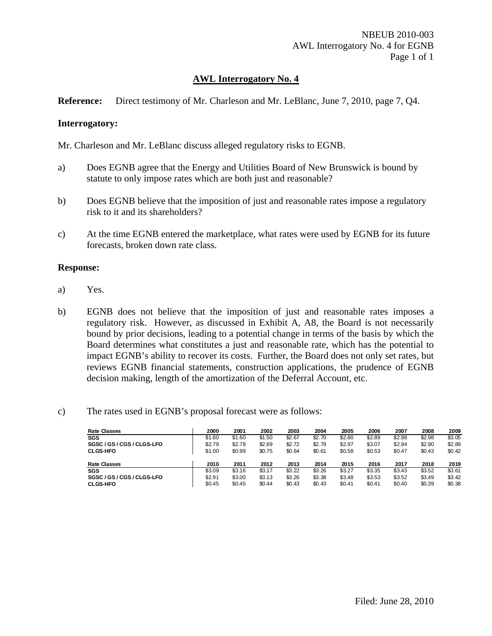## **Reference:** Direct testimony of Mr. Charleson and Mr. LeBlanc, June 7, 2010, page 7, Q4.

## **Interrogatory:**

Mr. Charleson and Mr. LeBlanc discuss alleged regulatory risks to EGNB.

- a) Does EGNB agree that the Energy and Utilities Board of New Brunswick is bound by statute to only impose rates which are both just and reasonable?
- b) Does EGNB believe that the imposition of just and reasonable rates impose a regulatory risk to it and its shareholders?
- c) At the time EGNB entered the marketplace, what rates were used by EGNB for its future forecasts, broken down rate class.

### **Response:**

- a) Yes.
- b) EGNB does not believe that the imposition of just and reasonable rates imposes a regulatory risk. However, as discussed in Exhibit A, A8, the Board is not necessarily bound by prior decisions, leading to a potential change in terms of the basis by which the Board determines what constitutes a just and reasonable rate, which has the potential to impact EGNB's ability to recover its costs. Further, the Board does not only set rates, but reviews EGNB financial statements, construction applications, the prudence of EGNB decision making, length of the amortization of the Deferral Account, etc.

## c) The rates used in EGNB's proposal forecast were as follows:

| <b>Rate Classes</b>        | 2000   | 2001   | 2002   | 2003   | 2004   | 2005   | 2006   | 2007   | 2008   | 2009   |
|----------------------------|--------|--------|--------|--------|--------|--------|--------|--------|--------|--------|
| SGS                        | \$1.60 | \$1.60 | \$1.50 | \$2.67 | \$2.70 | \$2.80 | \$2.89 | \$2.98 | \$2.98 | \$3.05 |
| SGSC / GS / CGS / CLGS-LFO | \$2.79 | \$2.78 | \$2.69 | \$2.72 | \$2.79 | \$2.97 | \$3.07 | \$2.94 | \$2.90 | \$2.89 |
| <b>CLGS-HFO</b>            | \$1.00 | \$0.99 | \$0.75 | \$0.64 | \$0.61 | \$0.58 | \$0.53 | \$0.47 | \$0.43 | \$0.42 |
| <b>Rate Classes</b>        | 2010   | 2011   | 2012   | 2013   | 2014   | 2015   | 2016   | 2017   | 2018   | 2019   |
| SGS                        | \$3.09 | \$3.16 | \$3.17 | \$3.22 | \$3.26 | \$3.27 | \$3.35 | \$3.43 | \$3.52 | \$3.61 |
| SGSC / GS / CGS / CLGS-LFO | \$2.91 | \$3.00 | \$3.13 | \$3.26 | \$3.38 | \$3.48 | \$3.53 | \$3.52 | \$3.49 | \$3.42 |
| <b>CLGS-HFO</b>            | \$0.45 | \$0.45 | \$0.44 | \$0.43 | \$0.43 | \$0.41 | \$0.41 | \$0.40 | \$0.39 | \$0.38 |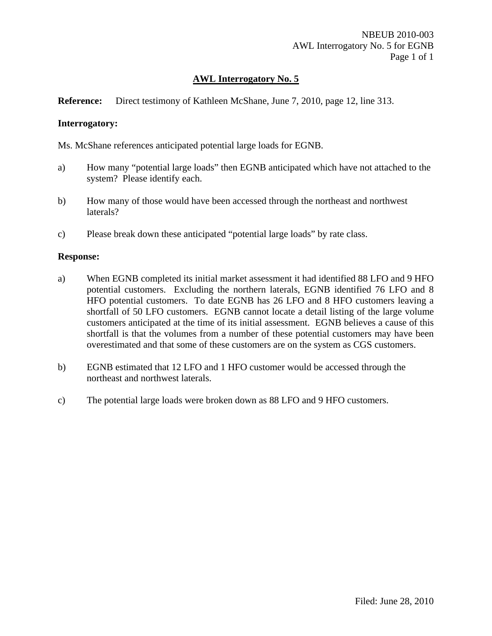## **Reference:** Direct testimony of Kathleen McShane, June 7, 2010, page 12, line 313.

## **Interrogatory:**

Ms. McShane references anticipated potential large loads for EGNB.

- a) How many "potential large loads" then EGNB anticipated which have not attached to the system? Please identify each.
- b) How many of those would have been accessed through the northeast and northwest laterals?
- c) Please break down these anticipated "potential large loads" by rate class.

### **Response:**

- a) When EGNB completed its initial market assessment it had identified 88 LFO and 9 HFO potential customers. Excluding the northern laterals, EGNB identified 76 LFO and 8 HFO potential customers. To date EGNB has 26 LFO and 8 HFO customers leaving a shortfall of 50 LFO customers. EGNB cannot locate a detail listing of the large volume customers anticipated at the time of its initial assessment. EGNB believes a cause of this shortfall is that the volumes from a number of these potential customers may have been overestimated and that some of these customers are on the system as CGS customers.
- b) EGNB estimated that 12 LFO and 1 HFO customer would be accessed through the northeast and northwest laterals.
- c) The potential large loads were broken down as 88 LFO and 9 HFO customers.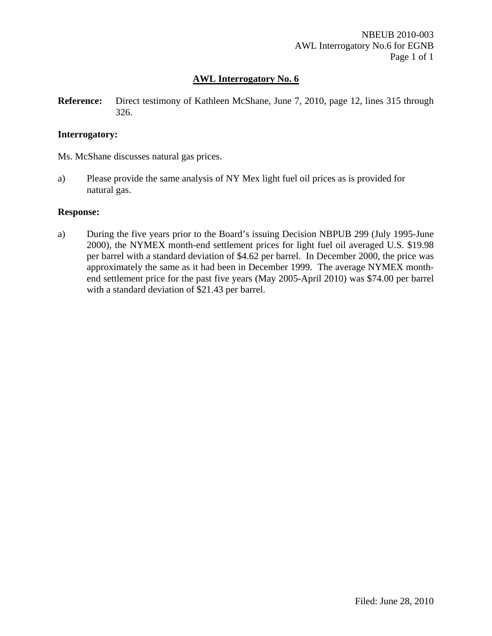**Reference:** Direct testimony of Kathleen McShane, June 7, 2010, page 12, lines 315 through 326.

## **Interrogatory:**

Ms. McShane discusses natural gas prices.

a) Please provide the same analysis of NY Mex light fuel oil prices as is provided for natural gas.

## **Response:**

a) During the five years prior to the Board's issuing Decision NBPUB 299 (July 1995-June 2000), the NYMEX month-end settlement prices for light fuel oil averaged U.S. \$19.98 per barrel with a standard deviation of \$4.62 per barrel. In December 2000, the price was approximately the same as it had been in December 1999. The average NYMEX monthend settlement price for the past five years (May 2005-April 2010) was \$74.00 per barrel with a standard deviation of \$21.43 per barrel.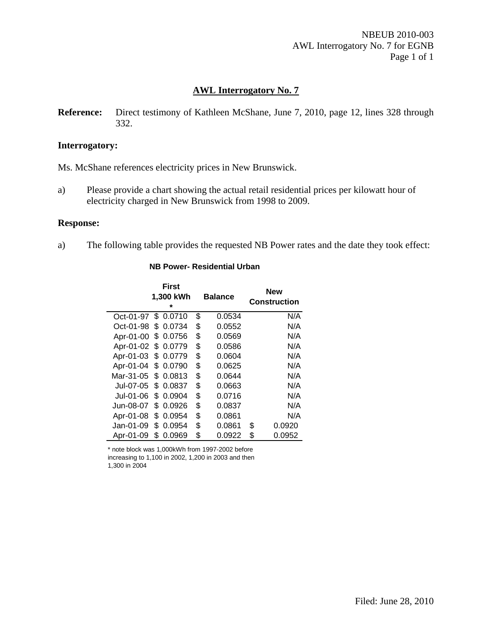NBEUB 2010-003 AWL Interrogatory No. 7 for EGNB Page 1 of 1

## **AWL Interrogatory No. 7**

**Reference:** Direct testimony of Kathleen McShane, June 7, 2010, page 12, lines 328 through 332.

#### **Interrogatory:**

Ms. McShane references electricity prices in New Brunswick.

a) Please provide a chart showing the actual retail residential prices per kilowatt hour of electricity charged in New Brunswick from 1998 to 2009.

#### **Response:**

a) The following table provides the requested NB Power rates and the date they took effect:

|           |     | First<br>1,300 kWh<br>÷ | <b>Balance</b> | <b>New</b><br><b>Construction</b> |
|-----------|-----|-------------------------|----------------|-----------------------------------|
| Oct-01-97 | \$  | 0.0710                  | \$<br>0.0534   | N/A                               |
| Oct-01-98 | S   | 0.0734                  | \$<br>0.0552   | N/A                               |
| Apr-01-00 | \$  | 0.0756                  | \$<br>0.0569   | N/A                               |
| Apr-01-02 | \$  | 0.0779                  | \$<br>0.0586   | N/A                               |
| Apr-01-03 | \$  | 0.0779                  | \$<br>0.0604   | N/A                               |
| Apr-01-04 | \$  | 0.0790                  | \$<br>0.0625   | N/A                               |
| Mar-31-05 | S.  | 0.0813                  | \$<br>0.0644   | N/A                               |
| Jul-07-05 | \$. | 0.0837                  | \$<br>0.0663   | N/A                               |
| Jul-01-06 | S   | 0.0904                  | \$<br>0.0716   | N/A                               |
| Jun-08-07 | S   | 0.0926                  | \$<br>0.0837   | N/A                               |
| Apr-01-08 | S   | 0.0954                  | \$<br>0.0861   | N/A                               |
| Jan-01-09 | S.  | 0.0954                  | \$<br>0.0861   | \$<br>0.0920                      |
| Apr-01-09 | \$  | 0.0969                  | \$<br>0.0922   | \$<br>0.0952                      |

#### **NB Power- Residential Urban**

\* note block was 1,000kWh from 1997-2002 before increasing to 1,100 in 2002, 1,200 in 2003 and then

1,300 in 2004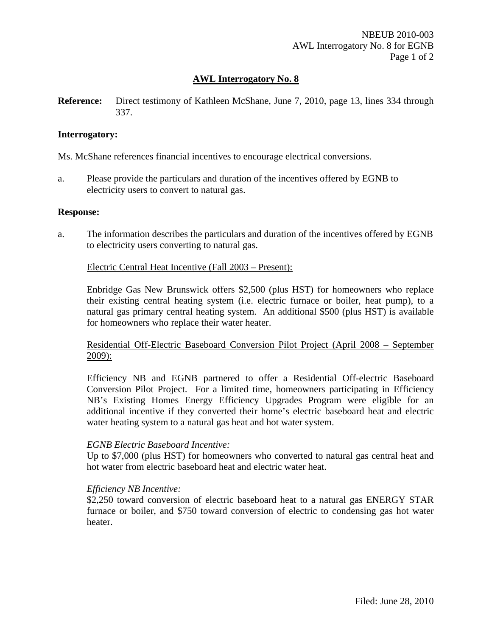**Reference:** Direct testimony of Kathleen McShane, June 7, 2010, page 13, lines 334 through 337.

## **Interrogatory:**

Ms. McShane references financial incentives to encourage electrical conversions.

a. Please provide the particulars and duration of the incentives offered by EGNB to electricity users to convert to natural gas.

## **Response:**

a. The information describes the particulars and duration of the incentives offered by EGNB to electricity users converting to natural gas.

## Electric Central Heat Incentive (Fall 2003 – Present):

Enbridge Gas New Brunswick offers \$2,500 (plus HST) for homeowners who replace their existing central heating system (i.e. electric furnace or boiler, heat pump), to a natural gas primary central heating system. An additional \$500 (plus HST) is available for homeowners who replace their water heater.

Residential Off-Electric Baseboard Conversion Pilot Project (April 2008 – September 2009):

Efficiency NB and EGNB partnered to offer a Residential Off-electric Baseboard Conversion Pilot Project. For a limited time, homeowners participating in Efficiency NB's Existing Homes Energy Efficiency Upgrades Program were eligible for an additional incentive if they converted their home's electric baseboard heat and electric water heating system to a natural gas heat and hot water system.

#### *EGNB Electric Baseboard Incentive:*

Up to \$7,000 (plus HST) for homeowners who converted to natural gas central heat and hot water from electric baseboard heat and electric water heat.

## *Efficiency NB Incentive:*

\$2,250 toward conversion of electric baseboard heat to a natural gas ENERGY STAR furnace or boiler, and \$750 toward conversion of electric to condensing gas hot water heater.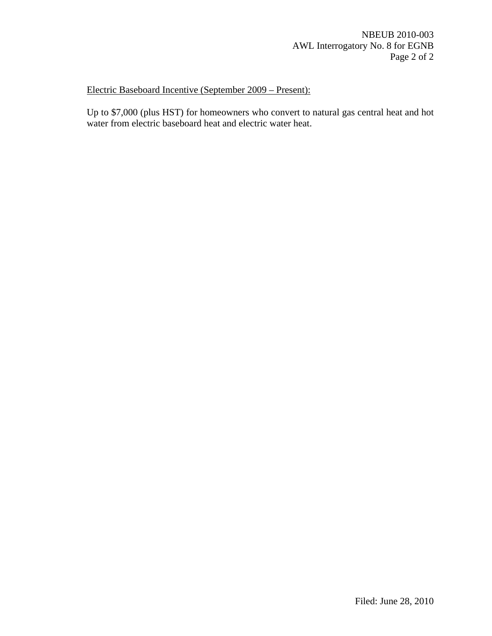Electric Baseboard Incentive (September 2009 – Present):

Up to \$7,000 (plus HST) for homeowners who convert to natural gas central heat and hot water from electric baseboard heat and electric water heat.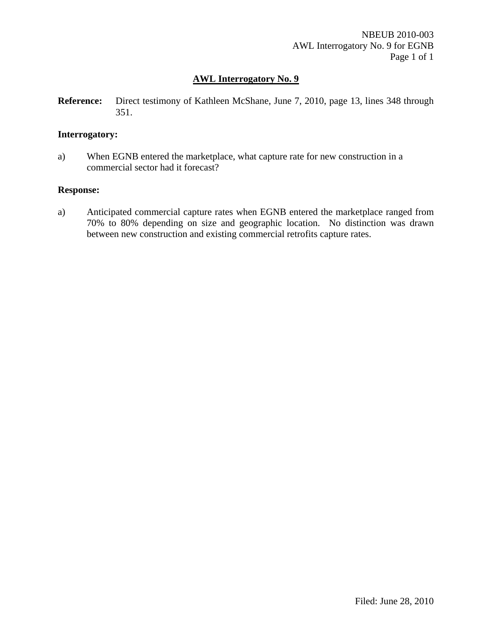**Reference:** Direct testimony of Kathleen McShane, June 7, 2010, page 13, lines 348 through 351.

## **Interrogatory:**

a) When EGNB entered the marketplace, what capture rate for new construction in a commercial sector had it forecast?

### **Response:**

a) Anticipated commercial capture rates when EGNB entered the marketplace ranged from 70% to 80% depending on size and geographic location. No distinction was drawn between new construction and existing commercial retrofits capture rates.